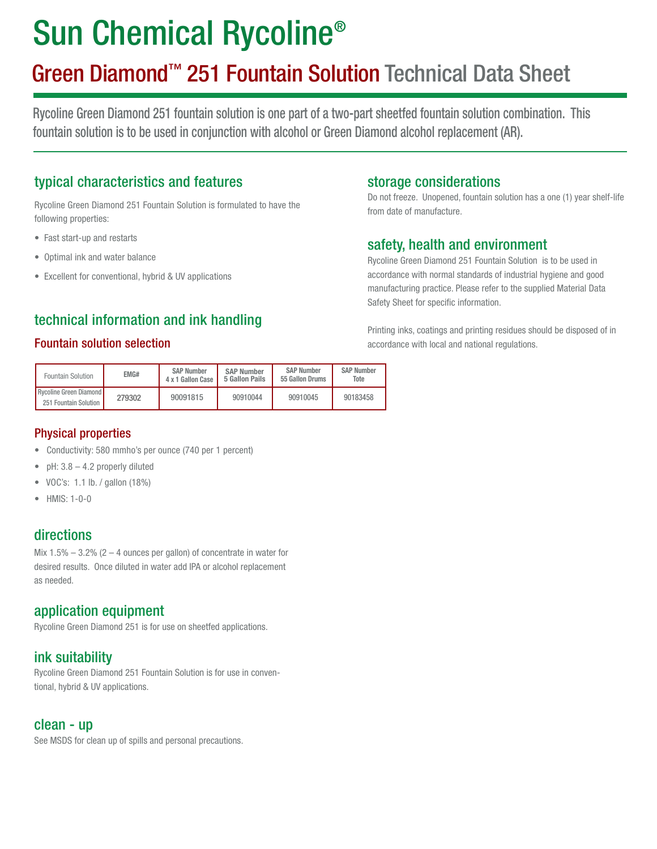# Sun Chemical Rycoline®

## Green Diamond™ 251 Fountain Solution Technical Data Sheet

Rycoline Green Diamond 251 fountain solution is one part of a two-part sheetfed fountain solution combination. This fountain solution is to be used in conjunction with alcohol or Green Diamond alcohol replacement (AR).

### typical characteristics and features

Rycoline Green Diamond 251 Fountain Solution is formulated to have the following properties:

- Fast start-up and restarts
- Optimal ink and water balance
- Excellent for conventional, hybrid & UV applications

### technical information and ink handling

#### Fountain solution selection

| Fountain Solution                               | EMG#   | <b>SAP Number</b><br>4 x 1 Gallon Case | <b>SAP Number</b><br>5 Gallon Pails | <b>SAP Number</b><br>55 Gallon Drums | <b>SAP Number</b><br>Tote |
|-------------------------------------------------|--------|----------------------------------------|-------------------------------------|--------------------------------------|---------------------------|
| Rycoline Green Diamond<br>251 Fountain Solution | 279302 | 90091815                               | 90910044                            | 90910045                             | 90183458                  |

#### Physical properties

- Conductivity: 580 mmho's per ounce (740 per 1 percent)
- pH:  $3.8 4.2$  properly diluted
- VOC's: 1.1 lb. / gallon (18%)
- $\bullet$  HMIS $\cdot$  1-0-0

#### directions

Mix  $1.5\% - 3.2\%$  (2 – 4 ounces per gallon) of concentrate in water for desired results. Once diluted in water add IPA or alcohol replacement as needed.

#### application equipment

Rycoline Green Diamond 251 is for use on sheetfed applications.

#### ink suitability

Rycoline Green Diamond 251 Fountain Solution is for use in conventional, hybrid & UV applications.

#### clean - up

See MSDS for clean up of spills and personal precautions.

#### storage considerations

Do not freeze. Unopened, fountain solution has a one (1) year shelf-life from date of manufacture.

#### safety, health and environment

Rycoline Green Diamond 251 Fountain Solution is to be used in accordance with normal standards of industrial hygiene and good manufacturing practice. Please refer to the supplied Material Data Safety Sheet for specific information.

Printing inks, coatings and printing residues should be disposed of in accordance with local and national regulations.